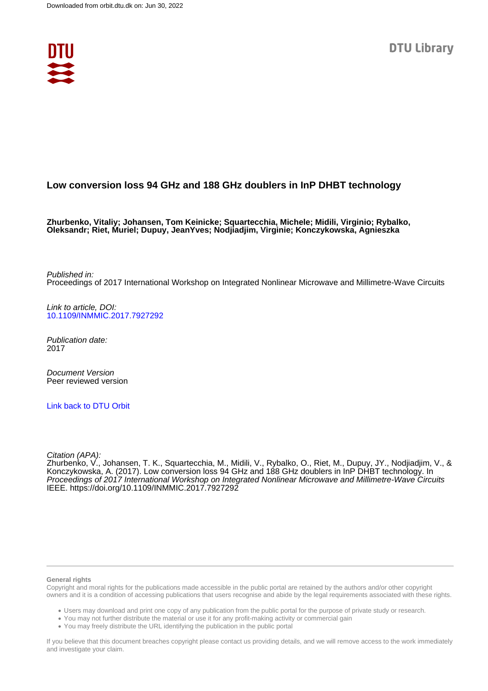

# **Low conversion loss 94 GHz and 188 GHz doublers in InP DHBT technology**

**Zhurbenko, Vitaliy; Johansen, Tom Keinicke; Squartecchia, Michele; Midili, Virginio; Rybalko, Oleksandr; Riet, Muriel; Dupuy, JeanYves; Nodjiadjim, Virginie; Konczykowska, Agnieszka**

Published in: Proceedings of 2017 International Workshop on Integrated Nonlinear Microwave and Millimetre-Wave Circuits

Link to article, DOI: [10.1109/INMMIC.2017.7927292](https://doi.org/10.1109/INMMIC.2017.7927292)

Publication date: 2017

Document Version Peer reviewed version

[Link back to DTU Orbit](https://orbit.dtu.dk/en/publications/274081ba-ca98-4636-aac9-ebccbe045bec)

Citation (APA):

Zhurbenko, V., Johansen, T. K., Squartecchia, M., Midili, V., Rybalko, O., Riet, M., Dupuy, JY., Nodjiadjim, V., & Konczykowska, A. (2017). Low conversion loss 94 GHz and 188 GHz doublers in InP DHBT technology. In Proceedings of 2017 International Workshop on Integrated Nonlinear Microwave and Millimetre-Wave Circuits IEEE.<https://doi.org/10.1109/INMMIC.2017.7927292>

#### **General rights**

Copyright and moral rights for the publications made accessible in the public portal are retained by the authors and/or other copyright owners and it is a condition of accessing publications that users recognise and abide by the legal requirements associated with these rights.

Users may download and print one copy of any publication from the public portal for the purpose of private study or research.

- You may not further distribute the material or use it for any profit-making activity or commercial gain
- You may freely distribute the URL identifying the publication in the public portal

If you believe that this document breaches copyright please contact us providing details, and we will remove access to the work immediately and investigate your claim.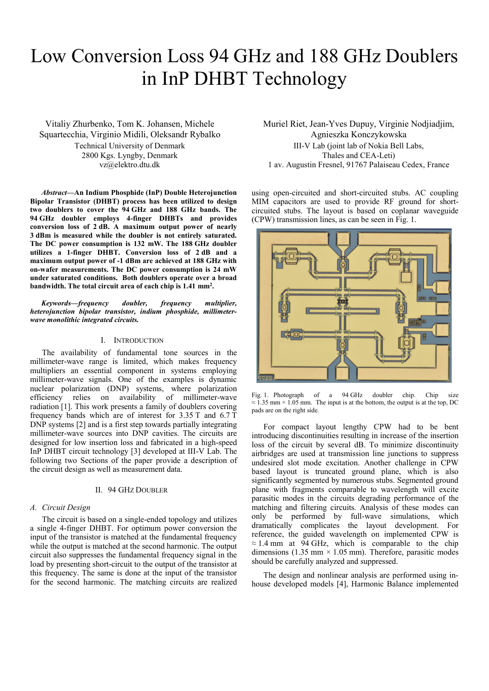# Low Conversion Loss 94 GHz and 188 GHz Doublers in InP DHBT Technology

Vitaliy Zhurbenko, Tom K. Johansen, Michele Squartecchia, Virginio Midili, Oleksandr Rybalko Technical University of Denmark 2800 Kgs. Lyngby, Denmark vz@elektro.dtu.dk

*Abstract***—An Indium Phosphide (InP) Double Heterojunction Bipolar Transistor (DHBT) process has been utilized to design two doublers to cover the 94 GHz and 188 GHz bands. The 94 GHz doubler employs 4-finger DHBTs and provides conversion loss of 2 dB. A maximum output power of nearly 3 dBm is measured while the doubler is not entirely saturated. The DC power consumption is 132 mW. The 188 GHz doubler utilizes a 1-finger DHBT. Conversion loss of 2 dB and a maximum output power of -1 dBm are achieved at 188 GHz with on-wafer measurements. The DC power consumption is 24 mW under saturated conditions. Both doublers operate over a broad bandwidth. The total circuit area of each chip is 1.41 mm2.**

*Keywords—frequency doubler, frequency multiplier, heterojunction bipolar transistor, indium phosphide, millimeterwave monolithic integrated circuits.*

# I. INTRODUCTION

The availability of fundamental tone sources in the millimeter-wave range is limited, which makes frequency multipliers an essential component in systems employing millimeter-wave signals. One of the examples is dynamic nuclear polarization (DNP) systems, where polarization efficiency relies on availability of millimeter-wave radiation [\[1\].](#page-3-0) This work presents a family of doublers covering frequency bands which are of interest for 3.35 T and 6.7 T DNP systems [\[2\]](#page-3-1) and is a first step towards partially integrating millimeter-wave sources into DNP cavities. The circuits are designed for low insertion loss and fabricated in a high-speed InP DHBT circuit technology [\[3\]](#page-3-2) developed at III-V Lab. The following two Sections of the paper provide a description of the circuit design as well as measurement data.

#### II. 94 GHZ DOUBLER

# *A. Circuit Design*

The circuit is based on a single-ended topology and utilizes a single 4-finger DHBT. For optimum power conversion the input of the transistor is matched at the fundamental frequency while the output is matched at the second harmonic. The output circuit also suppresses the fundamental frequency signal in the load by presenting short-circuit to the output of the transistor at this frequency. The same is done at the input of the transistor for the second harmonic. The matching circuits are realized Muriel Riet, Jean-Yves Dupuy, Virginie Nodjiadjim, Agnieszka Konczykowska III-V Lab (joint lab of Nokia Bell Labs, Thales and CEA-Leti) 1 av. Augustin Fresnel, 91767 Palaiseau Cedex, France

using open-circuited and short-circuited stubs. AC coupling MIM capacitors are used to provide RF ground for shortcircuited stubs. The layout is based on coplanar waveguide (CPW) transmission lines, as can be seen in [Fig. 1.](#page-1-0)



<span id="page-1-0"></span>Fig. 1. Photograph of a 94 GHz doubler chip. Chip size  $\approx$  1.35 mm × 1.05 mm. The input is at the bottom, the output is at the top, DC pads are on the right side.

For compact layout lengthy CPW had to be bent introducing discontinuities resulting in increase of the insertion loss of the circuit by several dB. To minimize discontinuity airbridges are used at transmission line junctions to suppress undesired slot mode excitation. Another challenge in CPW based layout is truncated ground plane, which is also significantly segmented by numerous stubs. Segmented ground plane with fragments comparable to wavelength will excite parasitic modes in the circuits degrading performance of the matching and filtering circuits. Analysis of these modes can only be performed by full-wave simulations, which dramatically complicates the layout development. For reference, the guided wavelength on implemented CPW is  $\approx$  1.4 mm at 94 GHz, which is comparable to the chip dimensions (1.35 mm  $\times$  1.05 mm). Therefore, parasitic modes should be carefully analyzed and suppressed.

The design and nonlinear analysis are performed using inhouse developed models [\[4\],](#page-3-3) Harmonic Balance implemented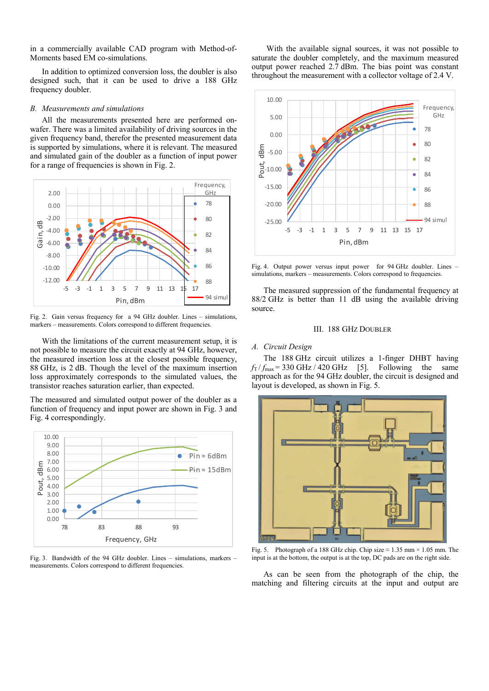in a commercially available CAD program with Method-of-Moments based EM co-simulations.

In addition to optimized conversion loss, the doubler is also designed such, that it can be used to drive a 188 GHz frequency doubler.

#### *B. Measurements and simulations*

All the measurements presented here are performed onwafer. There was a limited availability of driving sources in the given frequency band, therefor the presented measurement data is supported by simulations, where it is relevant. The measured and simulated gain of the doubler as a function of input power for a range of frequencies is shown in [Fig. 2.](#page-2-0)



<span id="page-2-0"></span>Fig. 2. Gain versus frequency for a 94 GHz doubler. Lines – simulations, markers – measurements. Colors correspond to different frequencies.

With the limitations of the current measurement setup, it is not possible to measure the circuit exactly at 94 GHz, however, the measured insertion loss at the closest possible frequency, 88 GHz, is 2 dB. Though the level of the maximum insertion loss approximately corresponds to the simulated values, the transistor reaches saturation earlier, than expected.

The measured and simulated output power of the doubler as a function of frequency and input power are shown in [Fig. 3](#page-2-1) and [Fig. 4](#page-2-2) correspondingly.



<span id="page-2-1"></span>Fig. 3. Bandwidth of the 94 GHz doubler. Lines – simulations, markers – measurements. Colors correspond to different frequencies.

With the available signal sources, it was not possible to saturate the doubler completely, and the maximum measured output power reached 2.7 dBm. The bias point was constant throughout the measurement with a collector voltage of 2.4 V.



<span id="page-2-2"></span>Fig. 4. Output power versus input power for 94 GHz doubler. Lines – simulations, markers – measurements. Colors correspond to frequencies.

The measured suppression of the fundamental frequency at 88/2 GHz is better than 11 dB using the available driving source.

#### III. 188 GHZ DOUBLER

# *A. Circuit Design*

The 188 GHz circuit utilizes a 1-finger DHBT having  $f_T / f_{\text{max}} = 330 \text{ GHz} / 420 \text{ GHz}$  [\[5\].](#page-3-4) Following the same approach as for the 94 GHz doubler, the circuit is designed and layout is developed, as shown i[n Fig. 5.](#page-2-3)



<span id="page-2-3"></span>Fig. 5. Photograph of a 188 GHz chip. Chip size  $\approx 1.35$  mm  $\times 1.05$  mm. The input is at the bottom, the output is at the top, DC pads are on the right side.

As can be seen from the photograph of the chip, the matching and filtering circuits at the input and output are